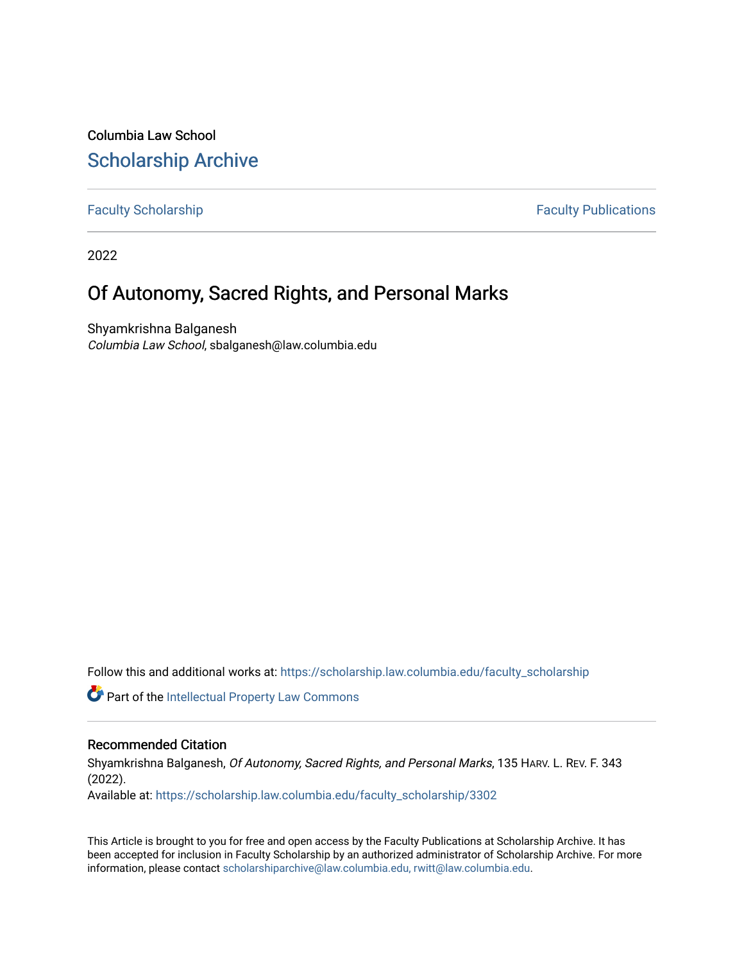Columbia Law School [Scholarship Archive](https://scholarship.law.columbia.edu/) 

[Faculty Scholarship](https://scholarship.law.columbia.edu/faculty_scholarship) **Faculty Publications** 

2022

# Of Autonomy, Sacred Rights, and Personal Marks

Shyamkrishna Balganesh Columbia Law School, sbalganesh@law.columbia.edu

Follow this and additional works at: [https://scholarship.law.columbia.edu/faculty\\_scholarship](https://scholarship.law.columbia.edu/faculty_scholarship?utm_source=scholarship.law.columbia.edu%2Ffaculty_scholarship%2F3302&utm_medium=PDF&utm_campaign=PDFCoverPages)

**C** Part of the Intellectual Property Law Commons

# Recommended Citation

Shyamkrishna Balganesh, Of Autonomy, Sacred Rights, and Personal Marks, 135 HARV. L. REV. F. 343 (2022).

Available at: [https://scholarship.law.columbia.edu/faculty\\_scholarship/3302](https://scholarship.law.columbia.edu/faculty_scholarship/3302?utm_source=scholarship.law.columbia.edu%2Ffaculty_scholarship%2F3302&utm_medium=PDF&utm_campaign=PDFCoverPages)

This Article is brought to you for free and open access by the Faculty Publications at Scholarship Archive. It has been accepted for inclusion in Faculty Scholarship by an authorized administrator of Scholarship Archive. For more information, please contact [scholarshiparchive@law.columbia.edu, rwitt@law.columbia.edu](mailto:scholarshiparchive@law.columbia.edu,%20rwitt@law.columbia.edu).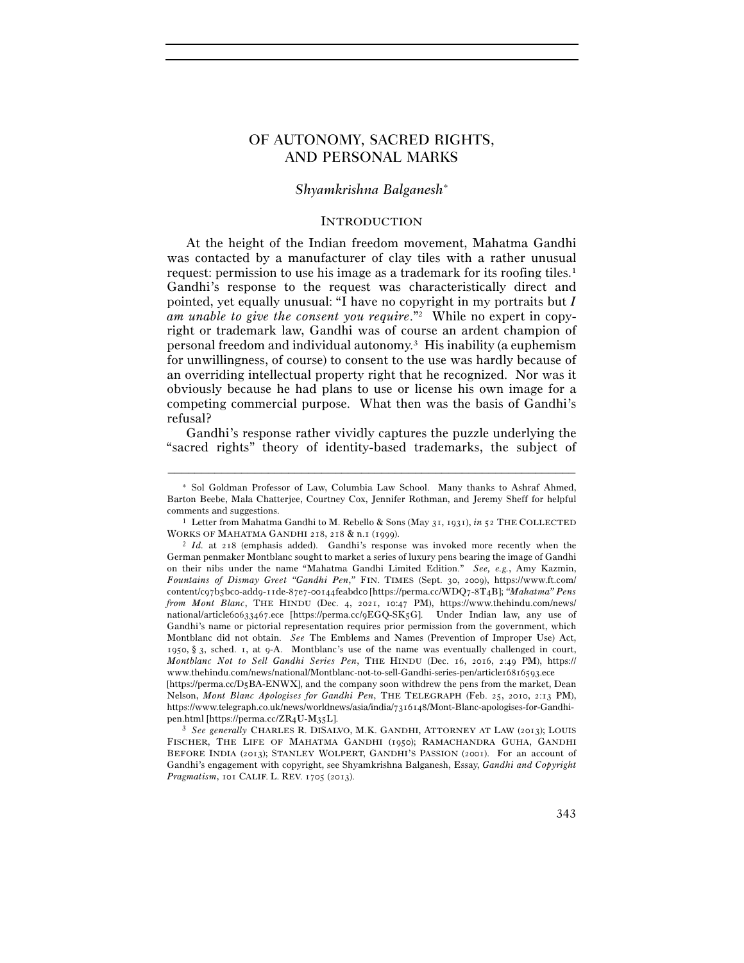# OF AUTONOMY, SACRED RIGHTS, AND PERSONAL MARKS

# *Shyamkrishna Balganesh*<sup>∗</sup>

### **INTRODUCTION**

At the height of the Indian freedom movement, Mahatma Gandhi was contacted by a manufacturer of clay tiles with a rather unusual request: permission to use his image as a trademark for its roofing tiles.<sup>1</sup> Gandhi's response to the request was characteristically direct and pointed, yet equally unusual: "I have no copyright in my portraits but *I am unable to give the consent you require*."2 While no expert in copyright or trademark law, Gandhi was of course an ardent champion of personal freedom and individual autonomy.3 His inability (a euphemism for unwillingness, of course) to consent to the use was hardly because of an overriding intellectual property right that he recognized. Nor was it obviously because he had plans to use or license his own image for a competing commercial purpose. What then was the basis of Gandhi's refusal?

Gandhi's response rather vividly captures the puzzle underlying the "sacred rights" theory of identity-based trademarks, the subject of

<sup>∗</sup> Sol Goldman Professor of Law, Columbia Law School. Many thanks to Ashraf Ahmed, Barton Beebe, Mala Chatterjee, Courtney Cox, Jennifer Rothman, and Jeremy Sheff for helpful comments and suggestions. 1 Letter from Mahatma Gandhi to M. Rebello & Sons (May 31, 1931), *in* <sup>52</sup> THE COLLECTED

WORKS OF MAHATMA GANDHI 218, 218 & n.1 (1999).<br><sup>2</sup> *Id.* at 218 (emphasis added). Gandhi's response was invoked more recently when the

German penmaker Montblanc sought to market a series of luxury pens bearing the image of Gandhi on their nibs under the name "Mahatma Gandhi Limited Edition." *See, e.g.*, Amy Kazmin, *Fountains of Dismay Greet "Gandhi Pen*,*"* FIN. TIMES (Sept. 30, 2009), https://www.ft.com/ content/c97b5bc0-add9-11de-87e7-00144feabdc0 [https://perma.cc/WDQ7-8T4B]; *"Mahatma" Pens from Mont Blanc*, THE HINDU (Dec. 4, 2021, 10:47 PM), https://www.thehindu.com/news/ national/article60633467.ece [https://perma.cc/9EGQ-SK5G]. Under Indian law, any use of Gandhi's name or pictorial representation requires prior permission from the government, which Montblanc did not obtain. *See* The Emblems and Names (Prevention of Improper Use) Act, 1950, § 3, sched. 1, at 9-A. Montblanc's use of the name was eventually challenged in court, *Montblanc Not to Sell Gandhi Series Pen*, THE HINDU (Dec. 16, 2016, 2:49 PM), https:// www.thehindu.com/news/national/Montblanc-not-to-sell-Gandhi-series-pen/article16816593.ece [https://perma.cc/D5BA-ENWX], and the company soon withdrew the pens from the market, Dean

Nelson, *Mont Blanc Apologises for Gandhi Pen*, THE TELEGRAPH (Feb. 25, 2010, 2:13 PM), https://www.telegraph.co.uk/news/worldnews/asia/india/7316148/Mont-Blanc-apologises-for-Gandhipen.html [https://perma.cc/ZR4U-M35L]. 3 *See generally* CHARLES R. DISALVO, M.K. GANDHI, ATTORNEY AT LAW (2013); LOUIS

FISCHER, THE LIFE OF MAHATMA GANDHI (1950); RAMACHANDRA GUHA, GANDHI BEFORE INDIA (2013); STANLEY WOLPERT, GANDHI'S PASSION (2001). For an account of Gandhi's engagement with copyright, see Shyamkrishna Balganesh, Essay, *Gandhi and Copyright Pragmatism*, 101 CALIF. L. REV. 1705 (2013).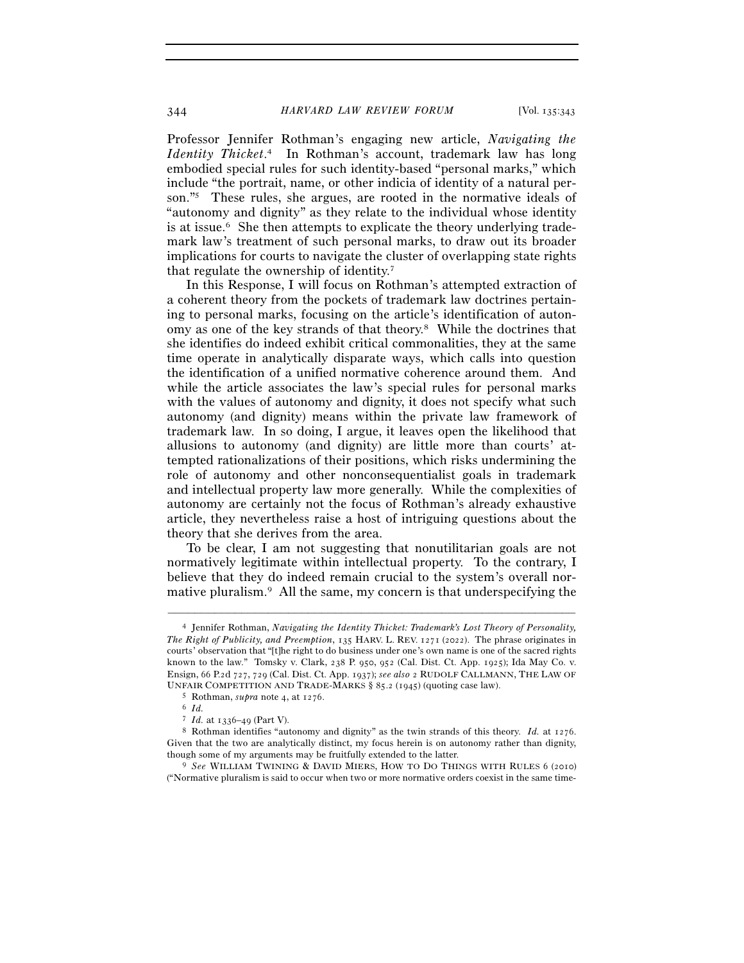Professor Jennifer Rothman's engaging new article, *Navigating the Identity Thicket*. 4 In Rothman's account, trademark law has long embodied special rules for such identity-based "personal marks," which include "the portrait, name, or other indicia of identity of a natural person."5 These rules, she argues, are rooted in the normative ideals of "autonomy and dignity" as they relate to the individual whose identity is at issue.<sup>6</sup> She then attempts to explicate the theory underlying trademark law's treatment of such personal marks, to draw out its broader implications for courts to navigate the cluster of overlapping state rights that regulate the ownership of identity.7

In this Response, I will focus on Rothman's attempted extraction of a coherent theory from the pockets of trademark law doctrines pertaining to personal marks, focusing on the article's identification of autonomy as one of the key strands of that theory.8 While the doctrines that she identifies do indeed exhibit critical commonalities, they at the same time operate in analytically disparate ways, which calls into question the identification of a unified normative coherence around them. And while the article associates the law's special rules for personal marks with the values of autonomy and dignity, it does not specify what such autonomy (and dignity) means within the private law framework of trademark law. In so doing, I argue, it leaves open the likelihood that allusions to autonomy (and dignity) are little more than courts' attempted rationalizations of their positions, which risks undermining the role of autonomy and other nonconsequentialist goals in trademark and intellectual property law more generally. While the complexities of autonomy are certainly not the focus of Rothman's already exhaustive article, they nevertheless raise a host of intriguing questions about the theory that she derives from the area.

To be clear, I am not suggesting that nonutilitarian goals are not normatively legitimate within intellectual property. To the contrary, I believe that they do indeed remain crucial to the system's overall normative pluralism.9 All the same, my concern is that underspecifying the

<sup>4</sup> Jennifer Rothman, *Navigating the Identity Thicket: Trademark's Lost Theory of Personality, The Right of Publicity, and Preemption*, 135 HARV. L. REV. 1271 (2022). The phrase originates in courts' observation that "[t]he right to do business under one's own name is one of the sacred rights known to the law." Tomsky v. Clark, 238 P. 950, 952 (Cal. Dist. Ct. App. 1925); Ida May Co. v. Ensign, 66 P.2d 727, 729 (Cal. Dist. Ct. App. 1937); *see also* 2 RUDOLF CALLMANN, THE LAW OF UNFAIR COMPETITION AND TRADE-MARKS § 85.2 (1945) (quoting case law).<br><sup>5</sup> Rothman, *supra* note 4, at 1276.<br>6 *Id.* 

<sup>&</sup>lt;sup>7</sup> *Id.* at 1336–49 (Part V).<br><sup>8</sup> Rothman identifies "autonomy and dignity" as the twin strands of this theory. *Id.* at 1276. Given that the two are analytically distinct, my focus herein is on autonomy rather than dignity, though some of my arguments may be fruitfully extended to the latter. 9 *See* WILLIAM TWINING & DAVID MIERS, HOW TO DO THINGS WITH RULES <sup>6</sup> (2010)

<sup>(&</sup>quot;Normative pluralism is said to occur when two or more normative orders coexist in the same time-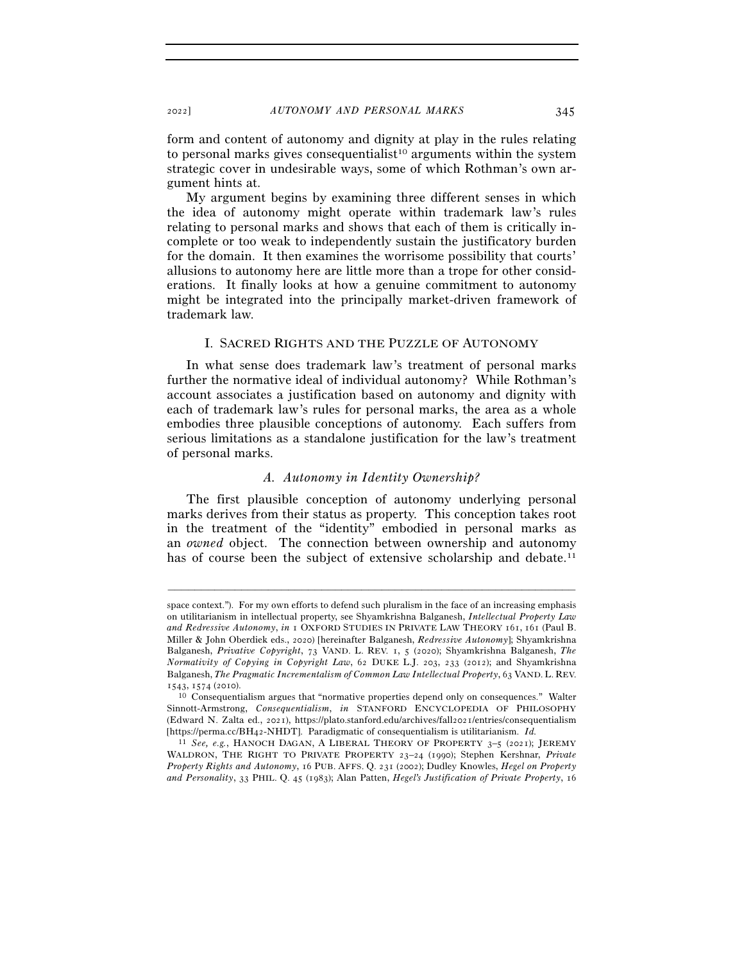form and content of autonomy and dignity at play in the rules relating to personal marks gives consequentialist<sup>10</sup> arguments within the system strategic cover in undesirable ways, some of which Rothman's own argument hints at.

My argument begins by examining three different senses in which the idea of autonomy might operate within trademark law's rules relating to personal marks and shows that each of them is critically incomplete or too weak to independently sustain the justificatory burden for the domain. It then examines the worrisome possibility that courts' allusions to autonomy here are little more than a trope for other considerations. It finally looks at how a genuine commitment to autonomy might be integrated into the principally market-driven framework of trademark law.

#### I. SACRED RIGHTS AND THE PUZZLE OF AUTONOMY

In what sense does trademark law's treatment of personal marks further the normative ideal of individual autonomy? While Rothman's account associates a justification based on autonomy and dignity with each of trademark law's rules for personal marks, the area as a whole embodies three plausible conceptions of autonomy. Each suffers from serious limitations as a standalone justification for the law's treatment of personal marks.

#### *A. Autonomy in Identity Ownership?*

The first plausible conception of autonomy underlying personal marks derives from their status as property. This conception takes root in the treatment of the "identity" embodied in personal marks as an *owned* object. The connection between ownership and autonomy has of course been the subject of extensive scholarship and debate.<sup>11</sup>

space context."). For my own efforts to defend such pluralism in the face of an increasing emphasis on utilitarianism in intellectual property, see Shyamkrishna Balganesh, *Intellectual Property Law and Redressive Autonomy*, *in* 1 OXFORD STUDIES IN PRIVATE LAW THEORY 161, 161 (Paul B. Miller & John Oberdiek eds., 2020) [hereinafter Balganesh, *Redressive Autonomy*]; Shyamkrishna Balganesh, *Privative Copyright*, 73 VAND. L. REV. 1, 5 (2020); Shyamkrishna Balganesh, *The Normativity of Copying in Copyright Law*, 62 DUKE L.J. 203, 233 (2012); and Shyamkrishna Balganesh, *The Pragmatic Incrementalism of Common Law Intellectual Property*, 63 VAND. L. REV.

<sup>1543</sup>, 1574 (<sup>2010</sup>). 10 Consequentialism argues that "normative properties depend only on consequences." Walter Sinnott-Armstrong, *Consequentialism*, *in* STANFORD ENCYCLOPEDIA OF PHILOSOPHY (Edward N. Zalta ed., 2021), https://plato.stanford.edu/archives/fall2021/entries/consequentialism [https://perma.cc/BH42-NHDT]. Paradigmatic of consequentialism is utilitarianism. *Id.*

<sup>11</sup> *See, e.g.*, HANOCH DAGAN, A LIBERAL THEORY OF PROPERTY 3–5 (2021); JEREMY WALDRON, THE RIGHT TO PRIVATE PROPERTY 23–24 (1990); Stephen Kershnar, *Private Property Rights and Autonomy*, 16 PUB. AFFS. Q. 231 (2002); Dudley Knowles, *Hegel on Property and Personality*, 33 PHIL. Q. 45 (1983); Alan Patten, *Hegel's Justification of Private Property*, 16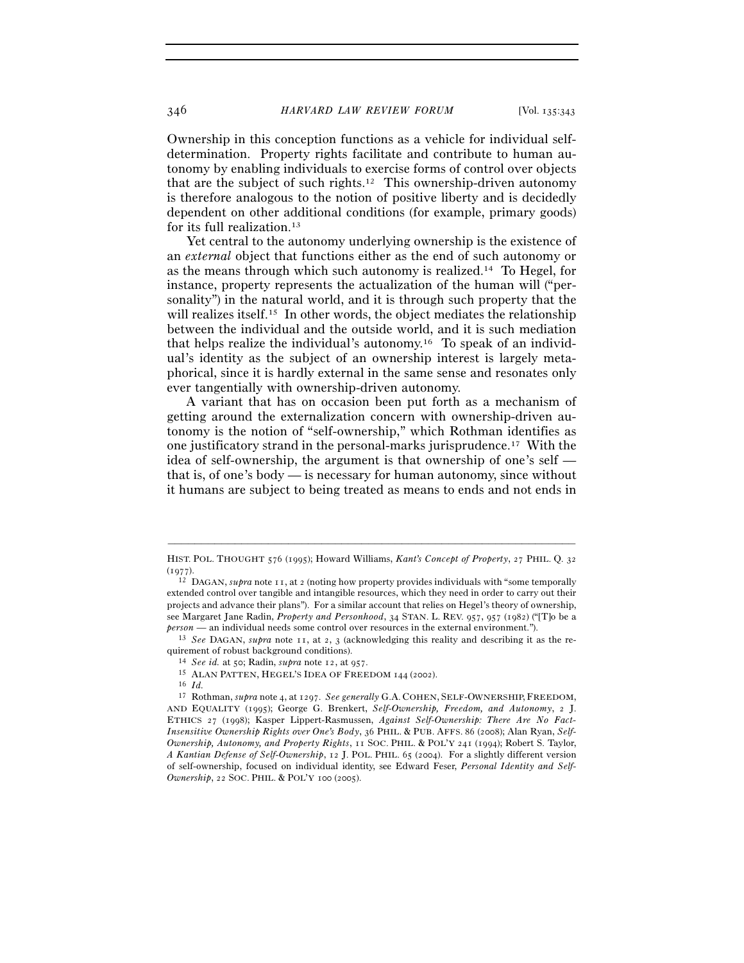Ownership in this conception functions as a vehicle for individual selfdetermination. Property rights facilitate and contribute to human autonomy by enabling individuals to exercise forms of control over objects that are the subject of such rights.12 This ownership-driven autonomy is therefore analogous to the notion of positive liberty and is decidedly dependent on other additional conditions (for example, primary goods) for its full realization.13

Yet central to the autonomy underlying ownership is the existence of an *external* object that functions either as the end of such autonomy or as the means through which such autonomy is realized.14 To Hegel, for instance, property represents the actualization of the human will ("personality") in the natural world, and it is through such property that the will realizes itself.<sup>15</sup> In other words, the object mediates the relationship between the individual and the outside world, and it is such mediation that helps realize the individual's autonomy.16 To speak of an individual's identity as the subject of an ownership interest is largely metaphorical, since it is hardly external in the same sense and resonates only ever tangentially with ownership-driven autonomy.

A variant that has on occasion been put forth as a mechanism of getting around the externalization concern with ownership-driven autonomy is the notion of "self-ownership," which Rothman identifies as one justificatory strand in the personal-marks jurisprudence.17 With the idea of self-ownership, the argument is that ownership of one's self that is, of one's body — is necessary for human autonomy, since without it humans are subject to being treated as means to ends and not ends in

*person* — an individual needs some control over resources in the external environment."). 13 *See* DAGAN, *supra* note 11, at 2, 3 (acknowledging this reality and describing it as the requirement of robust background conditions).<br><sup>14</sup> *See id.* at 50; Radin, *supra* note 12, at 957.<br><sup>15</sup> ALAN PATTEN, HEGEL'S IDEA OF FREEDOM 144 (2002).<br><sup>16</sup> *Id.* 

<sup>–––––––––––––––––––––––––––––––––––––––––––––––––––––––––––––</sup> HIST. POL. THOUGHT 576 (1995); Howard Williams, *Kant's Concept of Property*, 27 PHIL. Q. 32 (<sup>1977</sup>). 12 DAGAN, *supra* note 11, at 2 (noting how property provides individuals with "some temporally

extended control over tangible and intangible resources, which they need in order to carry out their projects and advance their plans"). For a similar account that relies on Hegel's theory of ownership, see Margaret Jane Radin, *Property and Personhood*, 34 STAN. L. REV. 957, 957 (1982) ("[T]o be a

<sup>17</sup> Rothman, *supra* note 4, at 1297. *See generally* G.A. COHEN, SELF-OWNERSHIP, FREEDOM, AND EQUALITY (1995); George G. Brenkert, *Self-Ownership, Freedom, and Autonomy*, 2 J. ETHICS 27 (1998); Kasper Lippert-Rasmussen, *Against Self-Ownership: There Are No Fact-Insensitive Ownership Rights over One's Body*, 36 PHIL. & PUB. AFFS. 86 (2008); Alan Ryan, *Self-Ownership, Autonomy, and Property Rights*, 11 SOC. PHIL. & POL'Y 241 (1994); Robert S. Taylor, *A Kantian Defense of Self-Ownership*, 12 J. POL. PHIL. 65 (2004). For a slightly different version of self-ownership, focused on individual identity, see Edward Feser, *Personal Identity and Self-Ownership*, 22 SOC. PHIL. & POL'Y 100 (2005).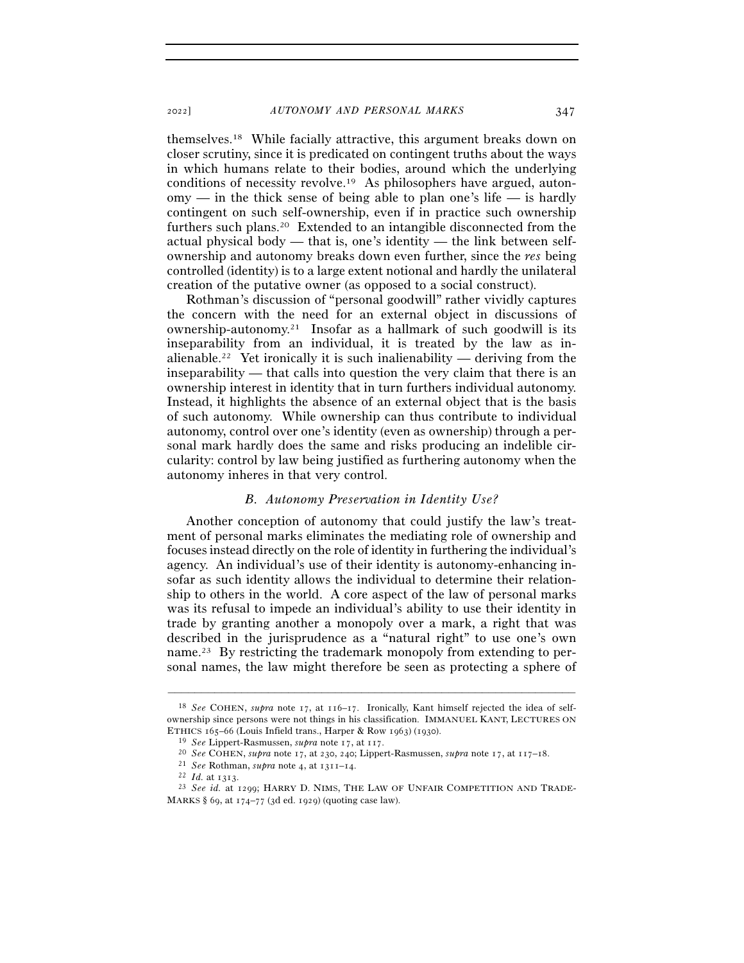themselves.18 While facially attractive, this argument breaks down on closer scrutiny, since it is predicated on contingent truths about the ways in which humans relate to their bodies, around which the underlying conditions of necessity revolve.19 As philosophers have argued, auton $omv$  — in the thick sense of being able to plan one's life — is hardly contingent on such self-ownership, even if in practice such ownership furthers such plans.20 Extended to an intangible disconnected from the actual physical body — that is, one's identity — the link between selfownership and autonomy breaks down even further, since the *res* being controlled (identity) is to a large extent notional and hardly the unilateral creation of the putative owner (as opposed to a social construct).

Rothman's discussion of "personal goodwill" rather vividly captures the concern with the need for an external object in discussions of ownership-autonomy.21 Insofar as a hallmark of such goodwill is its inseparability from an individual, it is treated by the law as inalienable.<sup>22</sup> Yet ironically it is such inalienability — deriving from the inseparability — that calls into question the very claim that there is an ownership interest in identity that in turn furthers individual autonomy. Instead, it highlights the absence of an external object that is the basis of such autonomy. While ownership can thus contribute to individual autonomy, control over one's identity (even as ownership) through a personal mark hardly does the same and risks producing an indelible circularity: control by law being justified as furthering autonomy when the autonomy inheres in that very control.

#### *B. Autonomy Preservation in Identity Use?*

Another conception of autonomy that could justify the law's treatment of personal marks eliminates the mediating role of ownership and focuses instead directly on the role of identity in furthering the individual's agency. An individual's use of their identity is autonomy-enhancing insofar as such identity allows the individual to determine their relationship to others in the world. A core aspect of the law of personal marks was its refusal to impede an individual's ability to use their identity in trade by granting another a monopoly over a mark, a right that was described in the jurisprudence as a "natural right" to use one's own name.<sup>23</sup> By restricting the trademark monopoly from extending to personal names, the law might therefore be seen as protecting a sphere of

<sup>18</sup> *See* COHEN, *supra* note 17, at 116–17. Ironically, Kant himself rejected the idea of selfownership since persons were not things in his classification. IMMANUEL KANT, LECTURES ON ETHICS 165–66 (Louis Infield trans., Harper & Row 1963) (1930).<br>
<sup>19</sup> See Lippert-Rasmussen, *supra* note 17, at 117.<br>
<sup>20</sup> See COHEN, *supra* note 17, at 230, 240; Lippert-Rasmussen, *supra* note 17, at 117–18.<br>
<sup>21</sup> See

<sup>&</sup>lt;sup>22</sup> *Id.* at 1313.<br><sup>23</sup> *See id.* at 1299; HARRY D. NIMS, THE LAW OF UNFAIR COMPETITION AND TRADE-MARKS § 69, at 174–77 (3d ed. 1929) (quoting case law).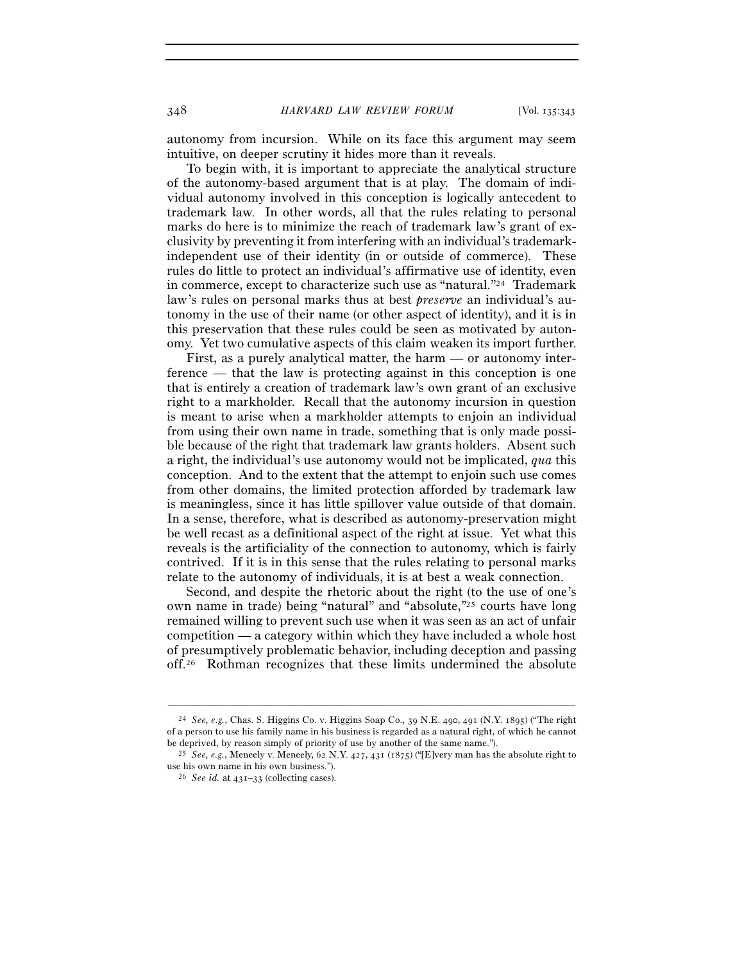348 *HARVARD LAW REVIEW FORUM* [Vol. 135:<sup>343</sup>

autonomy from incursion. While on its face this argument may seem intuitive, on deeper scrutiny it hides more than it reveals.

To begin with, it is important to appreciate the analytical structure of the autonomy-based argument that is at play. The domain of individual autonomy involved in this conception is logically antecedent to trademark law. In other words, all that the rules relating to personal marks do here is to minimize the reach of trademark law's grant of exclusivity by preventing it from interfering with an individual's trademarkindependent use of their identity (in or outside of commerce). These rules do little to protect an individual's affirmative use of identity, even in commerce, except to characterize such use as "natural."24 Trademark law's rules on personal marks thus at best *preserve* an individual's autonomy in the use of their name (or other aspect of identity), and it is in this preservation that these rules could be seen as motivated by autonomy. Yet two cumulative aspects of this claim weaken its import further.

First, as a purely analytical matter, the harm — or autonomy interference — that the law is protecting against in this conception is one that is entirely a creation of trademark law's own grant of an exclusive right to a markholder. Recall that the autonomy incursion in question is meant to arise when a markholder attempts to enjoin an individual from using their own name in trade, something that is only made possible because of the right that trademark law grants holders. Absent such a right, the individual's use autonomy would not be implicated, *qua* this conception. And to the extent that the attempt to enjoin such use comes from other domains, the limited protection afforded by trademark law is meaningless, since it has little spillover value outside of that domain. In a sense, therefore, what is described as autonomy-preservation might be well recast as a definitional aspect of the right at issue. Yet what this reveals is the artificiality of the connection to autonomy, which is fairly contrived. If it is in this sense that the rules relating to personal marks relate to the autonomy of individuals, it is at best a weak connection.

Second, and despite the rhetoric about the right (to the use of one's own name in trade) being "natural" and "absolute,"25 courts have long remained willing to prevent such use when it was seen as an act of unfair competition — a category within which they have included a whole host of presumptively problematic behavior, including deception and passing off.26 Rothman recognizes that these limits undermined the absolute

<sup>24</sup> *See, e.g.*, Chas. S. Higgins Co. v. Higgins Soap Co., 39 N.E. 490, 491 (N.Y. 1895) ("The right of a person to use his family name in his business is regarded as a natural right, of which he cannot

be deprived, by reason simply of priority of use by another of the same name."). 25 *See, e.g.*, Meneely v. Meneely, 62 N.Y. 427, 431 (1875) ("[E]very man has the absolute right to use his own name in his own business."). 26 *See id.* at 431–33 (collecting cases).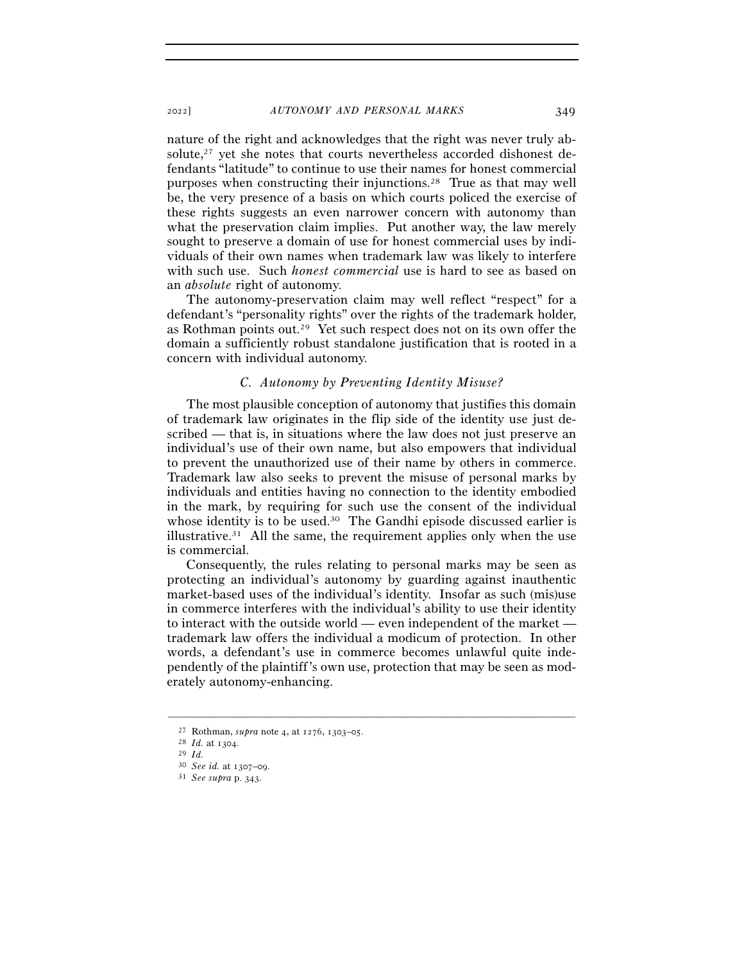nature of the right and acknowledges that the right was never truly absolute, $27$  yet she notes that courts nevertheless accorded dishonest defendants "latitude" to continue to use their names for honest commercial purposes when constructing their injunctions.28 True as that may well be, the very presence of a basis on which courts policed the exercise of these rights suggests an even narrower concern with autonomy than what the preservation claim implies. Put another way, the law merely sought to preserve a domain of use for honest commercial uses by individuals of their own names when trademark law was likely to interfere with such use. Such *honest commercial* use is hard to see as based on an *absolute* right of autonomy.

The autonomy-preservation claim may well reflect "respect" for a defendant's "personality rights" over the rights of the trademark holder, as Rothman points out.29 Yet such respect does not on its own offer the domain a sufficiently robust standalone justification that is rooted in a concern with individual autonomy.

# *C. Autonomy by Preventing Identity Misuse?*

The most plausible conception of autonomy that justifies this domain of trademark law originates in the flip side of the identity use just described — that is, in situations where the law does not just preserve an individual's use of their own name, but also empowers that individual to prevent the unauthorized use of their name by others in commerce. Trademark law also seeks to prevent the misuse of personal marks by individuals and entities having no connection to the identity embodied in the mark, by requiring for such use the consent of the individual whose identity is to be used.<sup>30</sup> The Gandhi episode discussed earlier is illustrative.<sup>31</sup> All the same, the requirement applies only when the use is commercial.

Consequently, the rules relating to personal marks may be seen as protecting an individual's autonomy by guarding against inauthentic market-based uses of the individual's identity. Insofar as such (mis)use in commerce interferes with the individual's ability to use their identity to interact with the outside world — even independent of the market trademark law offers the individual a modicum of protection. In other words, a defendant's use in commerce becomes unlawful quite independently of the plaintiff's own use, protection that may be seen as moderately autonomy-enhancing.

<sup>27</sup> Rothman, *supra* note 4, at 1276, 1303–<sup>05</sup>. 28 *Id.* at <sup>1304</sup>. 29 *Id.*

<sup>30</sup> *See id.* at 1307–<sup>09</sup>. 31 *See supra* p. 343.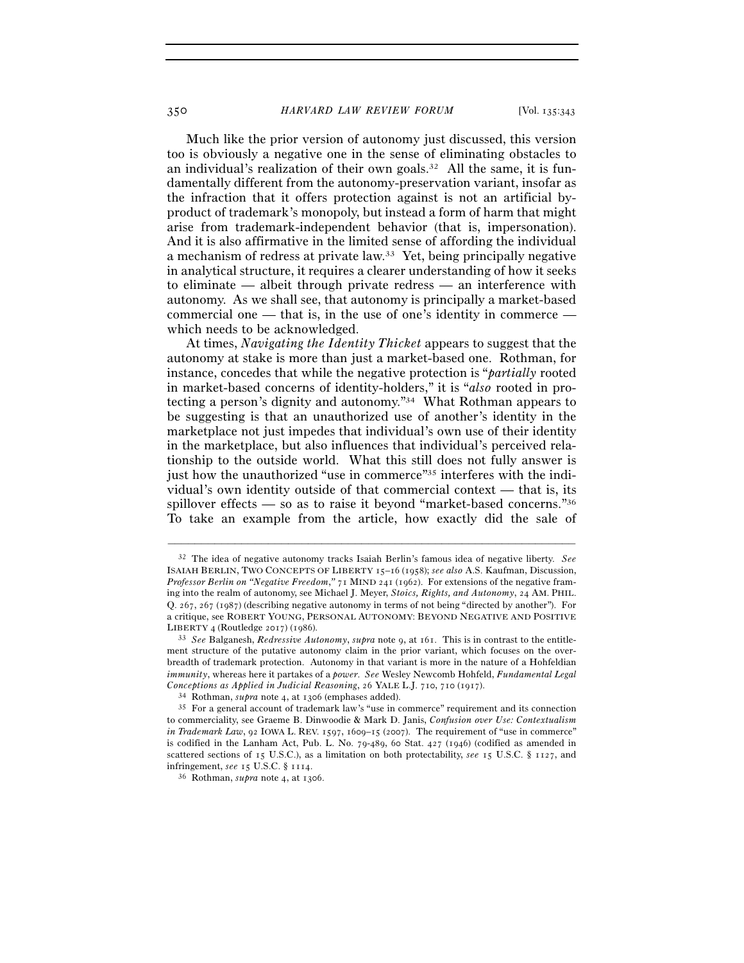Much like the prior version of autonomy just discussed, this version too is obviously a negative one in the sense of eliminating obstacles to an individual's realization of their own goals.<sup>32</sup> All the same, it is fundamentally different from the autonomy-preservation variant, insofar as the infraction that it offers protection against is not an artificial byproduct of trademark's monopoly, but instead a form of harm that might arise from trademark-independent behavior (that is, impersonation). And it is also affirmative in the limited sense of affording the individual a mechanism of redress at private law.33 Yet, being principally negative in analytical structure, it requires a clearer understanding of how it seeks to eliminate — albeit through private redress — an interference with autonomy. As we shall see, that autonomy is principally a market-based commercial one — that is, in the use of one's identity in commerce which needs to be acknowledged.

At times, *Navigating the Identity Thicket* appears to suggest that the autonomy at stake is more than just a market-based one. Rothman, for instance, concedes that while the negative protection is "*partially* rooted in market-based concerns of identity-holders," it is "*also* rooted in protecting a person's dignity and autonomy."34 What Rothman appears to be suggesting is that an unauthorized use of another's identity in the marketplace not just impedes that individual's own use of their identity in the marketplace, but also influences that individual's perceived relationship to the outside world. What this still does not fully answer is just how the unauthorized "use in commerce"<sup>35</sup> interferes with the individual's own identity outside of that commercial context — that is, its spillover effects — so as to raise it beyond "market-based concerns."36 To take an example from the article, how exactly did the sale of

<sup>32</sup> The idea of negative autonomy tracks Isaiah Berlin's famous idea of negative liberty. *See* ISAIAH BERLIN, TWO CONCEPTS OF LIBERTY 15–16 (1958); *see also* A.S. Kaufman, Discussion, *Professor Berlin on "Negative Freedom*,*"* 71 MIND 241 (1962). For extensions of the negative framing into the realm of autonomy, see Michael J. Meyer, *Stoics, Rights, and Autonomy*, 24 AM. PHIL. Q. 267, 267 (1987) (describing negative autonomy in terms of not being "directed by another"). For a critique, see ROBERT YOUNG, PERSONAL AUTONOMY: BEYOND NEGATIVE AND POSITIVE

LIBERTY <sup>4</sup> (Routledge 2017) (<sup>1986</sup>). 33 *See* Balganesh, *Redressive Autonomy*, *supra* note 9, at 161. This is in contrast to the entitlement structure of the putative autonomy claim in the prior variant, which focuses on the overbreadth of trademark protection. Autonomy in that variant is more in the nature of a Hohfeldian *immunity*, whereas here it partakes of a *power*. *See* Wesley Newcomb Hohfeld, *Fundamental Legal*  Conceptions as Applied in Judicial Reasoning, 26 YALE L.J. 710, 710 (1917).<br><sup>34</sup> Rothman, *supra* note 4, at 1306 (emphases added).<br><sup>35</sup> For a general account of trademark law's "use in commerce" requirement and its conne

to commerciality, see Graeme B. Dinwoodie & Mark D. Janis, *Confusion over Use: Contextualism in Trademark Law*, 92 IOWA L. REV. 1597, 1609–15 (2007). The requirement of "use in commerce" is codified in the Lanham Act, Pub. L. No. 79-489, 60 Stat. 427 (1946) (codified as amended in scattered sections of 15 U.S.C.), as a limitation on both protectability, *see* 15 U.S.C. § 1127, and infringement, *see* <sup>15</sup> U.S.C. § <sup>1114</sup>. 36 Rothman, *supra* note 4, at 1306.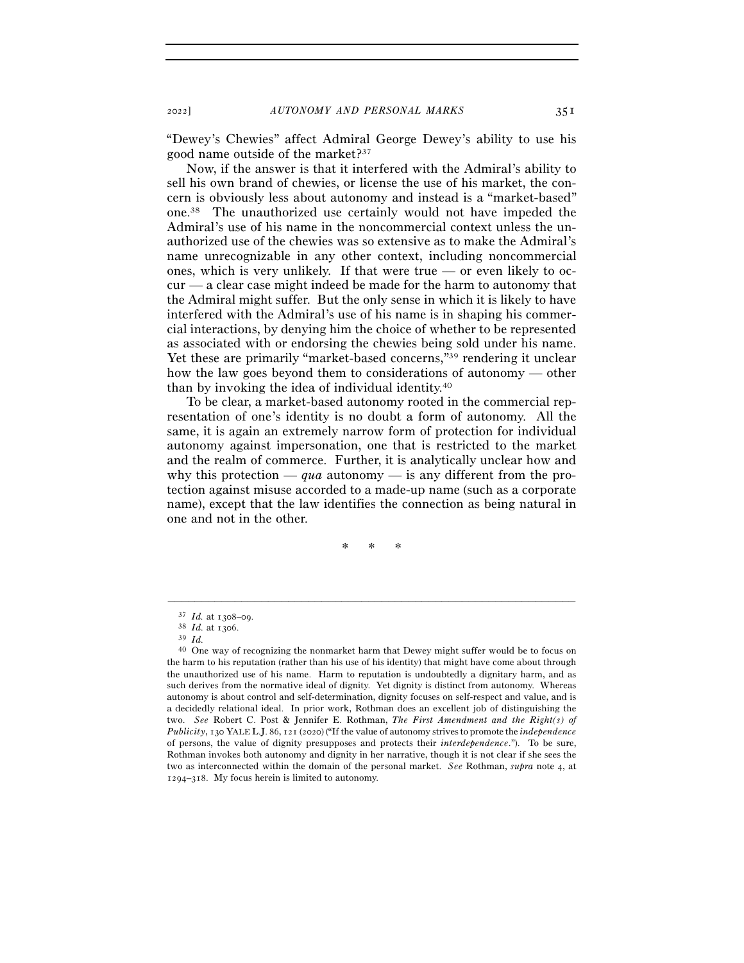"Dewey's Chewies" affect Admiral George Dewey's ability to use his good name outside of the market?37

Now, if the answer is that it interfered with the Admiral's ability to sell his own brand of chewies, or license the use of his market, the concern is obviously less about autonomy and instead is a "market-based" one.38 The unauthorized use certainly would not have impeded the Admiral's use of his name in the noncommercial context unless the unauthorized use of the chewies was so extensive as to make the Admiral's name unrecognizable in any other context, including noncommercial ones, which is very unlikely. If that were true — or even likely to occur — a clear case might indeed be made for the harm to autonomy that the Admiral might suffer. But the only sense in which it is likely to have interfered with the Admiral's use of his name is in shaping his commercial interactions, by denying him the choice of whether to be represented as associated with or endorsing the chewies being sold under his name. Yet these are primarily "market-based concerns,"39 rendering it unclear how the law goes beyond them to considerations of autonomy — other than by invoking the idea of individual identity.40

To be clear, a market-based autonomy rooted in the commercial representation of one's identity is no doubt a form of autonomy. All the same, it is again an extremely narrow form of protection for individual autonomy against impersonation, one that is restricted to the market and the realm of commerce. Further, it is analytically unclear how and why this protection — *qua* autonomy — is any different from the protection against misuse accorded to a made-up name (such as a corporate name), except that the law identifies the connection as being natural in one and not in the other.

\* \* \*

<sup>37</sup> *Id.* at 1308–<sup>09</sup>. 38 *Id.* at <sup>1306</sup>. 39 *Id.* 

<sup>&</sup>lt;sup>40</sup> One way of recognizing the nonmarket harm that Dewey might suffer would be to focus on the harm to his reputation (rather than his use of his identity) that might have come about through the unauthorized use of his name. Harm to reputation is undoubtedly a dignitary harm, and as such derives from the normative ideal of dignity. Yet dignity is distinct from autonomy. Whereas autonomy is about control and self-determination, dignity focuses on self-respect and value, and is a decidedly relational ideal. In prior work, Rothman does an excellent job of distinguishing the two. *See* Robert C. Post & Jennifer E. Rothman, *The First Amendment and the Right(s) of Publicity*, 130 YALE L.J. 86, 121 (2020) ("If the value of autonomy strives to promote the *independence* of persons, the value of dignity presupposes and protects their *interdependence*."). To be sure, Rothman invokes both autonomy and dignity in her narrative, though it is not clear if she sees the two as interconnected within the domain of the personal market. *See* Rothman, *supra* note 4, at 1294–318. My focus herein is limited to autonomy.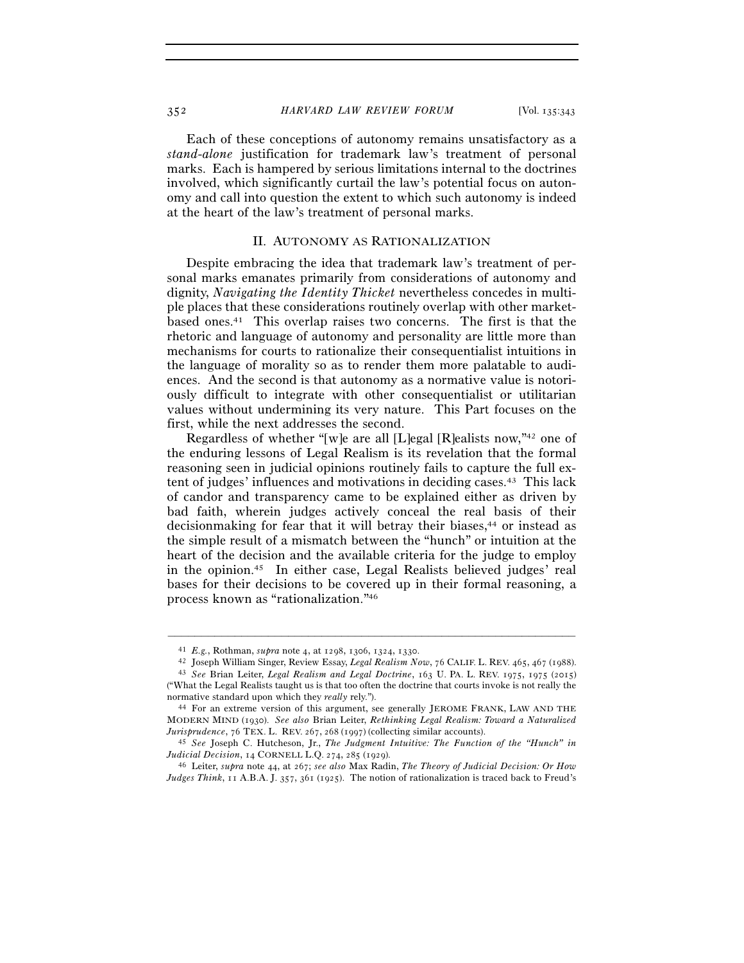Each of these conceptions of autonomy remains unsatisfactory as a *stand-alone* justification for trademark law's treatment of personal marks. Each is hampered by serious limitations internal to the doctrines involved, which significantly curtail the law's potential focus on autonomy and call into question the extent to which such autonomy is indeed at the heart of the law's treatment of personal marks.

## II. AUTONOMY AS RATIONALIZATION

Despite embracing the idea that trademark law's treatment of personal marks emanates primarily from considerations of autonomy and dignity, *Navigating the Identity Thicket* nevertheless concedes in multiple places that these considerations routinely overlap with other marketbased ones.41 This overlap raises two concerns. The first is that the rhetoric and language of autonomy and personality are little more than mechanisms for courts to rationalize their consequentialist intuitions in the language of morality so as to render them more palatable to audiences. And the second is that autonomy as a normative value is notoriously difficult to integrate with other consequentialist or utilitarian values without undermining its very nature. This Part focuses on the first, while the next addresses the second.

Regardless of whether "[w]e are all [L]egal [R]ealists now,"42 one of the enduring lessons of Legal Realism is its revelation that the formal reasoning seen in judicial opinions routinely fails to capture the full extent of judges' influences and motivations in deciding cases.43 This lack of candor and transparency came to be explained either as driven by bad faith, wherein judges actively conceal the real basis of their decisionmaking for fear that it will betray their biases,<sup>44</sup> or instead as the simple result of a mismatch between the "hunch" or intuition at the heart of the decision and the available criteria for the judge to employ in the opinion.45 In either case, Legal Realists believed judges' real bases for their decisions to be covered up in their formal reasoning, a process known as "rationalization."46

<sup>&</sup>lt;sup>41</sup> E.g., Rothman, *supra* note 4, at 1298, 1306, 1324, 1330.<br><sup>42</sup> Joseph William Singer, Review Essay, *Legal Realism Now*, 76 CALIF. L. REV. 465, 467 (1988).<br><sup>43</sup> See Brian Leiter, *Legal Realism and Legal Doctrine*, 1

<sup>(&</sup>quot;What the Legal Realists taught us is that too often the doctrine that courts invoke is not really the normative standard upon which they *really* rely.").<br><sup>44</sup> For an extreme version of this argument, see generally JEROME FRANK, LAW AND THE

MODERN MIND (1930). *See also* Brian Leiter, *Rethinking Legal Realism: Toward a Naturalized Jurisprudence*, 76 TEX. L. REV. <sup>267</sup>, <sup>268</sup> (1997) (collecting similar accounts). 45 *See* Joseph C. Hutcheson, Jr., *The Judgment Intuitive: The Function of the "Hunch" in* 

*Judicial Decision*, 14 CORNELL L.Q. <sup>274</sup>, 285 (<sup>1929</sup>). 46 Leiter, *supra* note 44, at 267; *see also* Max Radin, *The Theory of Judicial Decision: Or How* 

*Judges Think*, 11 A.B.A. J. 357, 361 (1925). The notion of rationalization is traced back to Freud's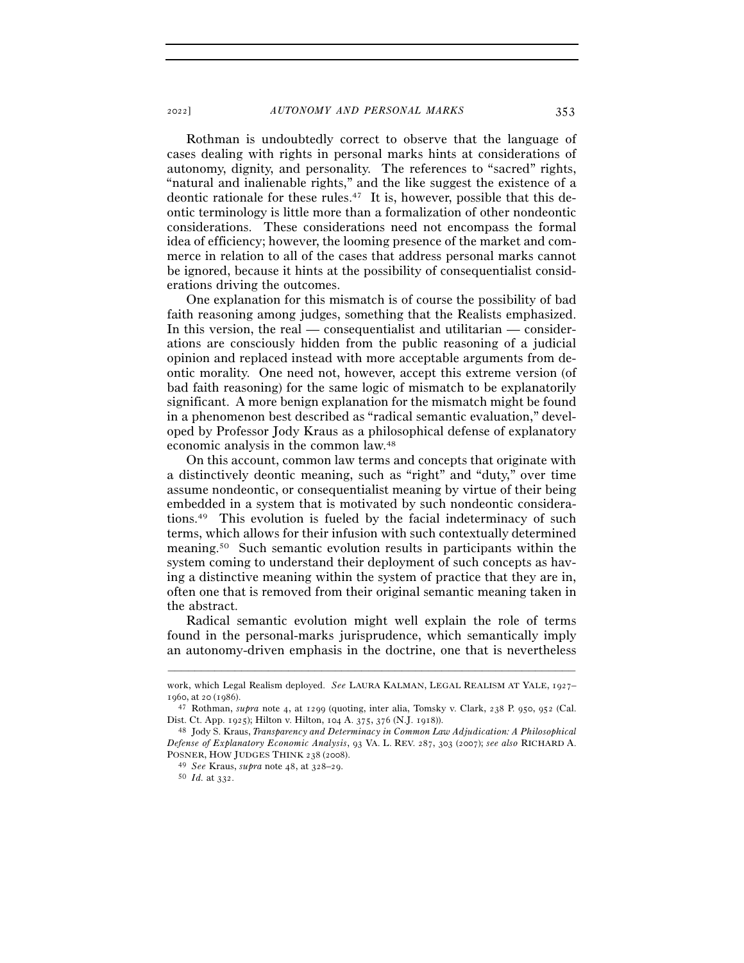<sup>2022</sup>] *AUTONOMY AND PERSONAL MARKS* 353

Rothman is undoubtedly correct to observe that the language of cases dealing with rights in personal marks hints at considerations of autonomy, dignity, and personality. The references to "sacred" rights, "natural and inalienable rights," and the like suggest the existence of a deontic rationale for these rules.47 It is, however, possible that this deontic terminology is little more than a formalization of other nondeontic considerations. These considerations need not encompass the formal idea of efficiency; however, the looming presence of the market and commerce in relation to all of the cases that address personal marks cannot be ignored, because it hints at the possibility of consequentialist considerations driving the outcomes.

One explanation for this mismatch is of course the possibility of bad faith reasoning among judges, something that the Realists emphasized. In this version, the real — consequentialist and utilitarian — considerations are consciously hidden from the public reasoning of a judicial opinion and replaced instead with more acceptable arguments from deontic morality. One need not, however, accept this extreme version (of bad faith reasoning) for the same logic of mismatch to be explanatorily significant. A more benign explanation for the mismatch might be found in a phenomenon best described as "radical semantic evaluation," developed by Professor Jody Kraus as a philosophical defense of explanatory economic analysis in the common law.48

On this account, common law terms and concepts that originate with a distinctively deontic meaning, such as "right" and "duty," over time assume nondeontic, or consequentialist meaning by virtue of their being embedded in a system that is motivated by such nondeontic considerations.49 This evolution is fueled by the facial indeterminacy of such terms, which allows for their infusion with such contextually determined meaning.50 Such semantic evolution results in participants within the system coming to understand their deployment of such concepts as having a distinctive meaning within the system of practice that they are in, often one that is removed from their original semantic meaning taken in the abstract.

Radical semantic evolution might well explain the role of terms found in the personal-marks jurisprudence, which semantically imply an autonomy-driven emphasis in the doctrine, one that is nevertheless

<sup>–––––––––––––––––––––––––––––––––––––––––––––––––––––––––––––</sup> work, which Legal Realism deployed. *See* LAURA KALMAN, LEGAL REALISM AT YALE, 1927–

<sup>1960,</sup> at 20 (1986).<br><sup>47</sup> Rothman, *supra* note 4, at 1299 (quoting, inter alia, Tomsky v. Clark, 238 P. 950, 952 (Cal.<br>Dist. Ct. App. 1925); Hilton v. Hilton, 104 A. 375, 376 (N.J. 1918)).

<sup>&</sup>lt;sup>48</sup> Jody S. Kraus, *Transparency and Determinacy in Common Law Adjudication: A Philosophical Defense of Explanatory Economic Analysis*, 93 VA. L. REV. 287, 303 (2007); *see also* RICHARD A. POSNER, HOW JUDGES THINK <sup>238</sup> (<sup>2008</sup>). 49 *See* Kraus, *supra* note 48, at 328–<sup>29</sup>. 50 *Id.* at 332.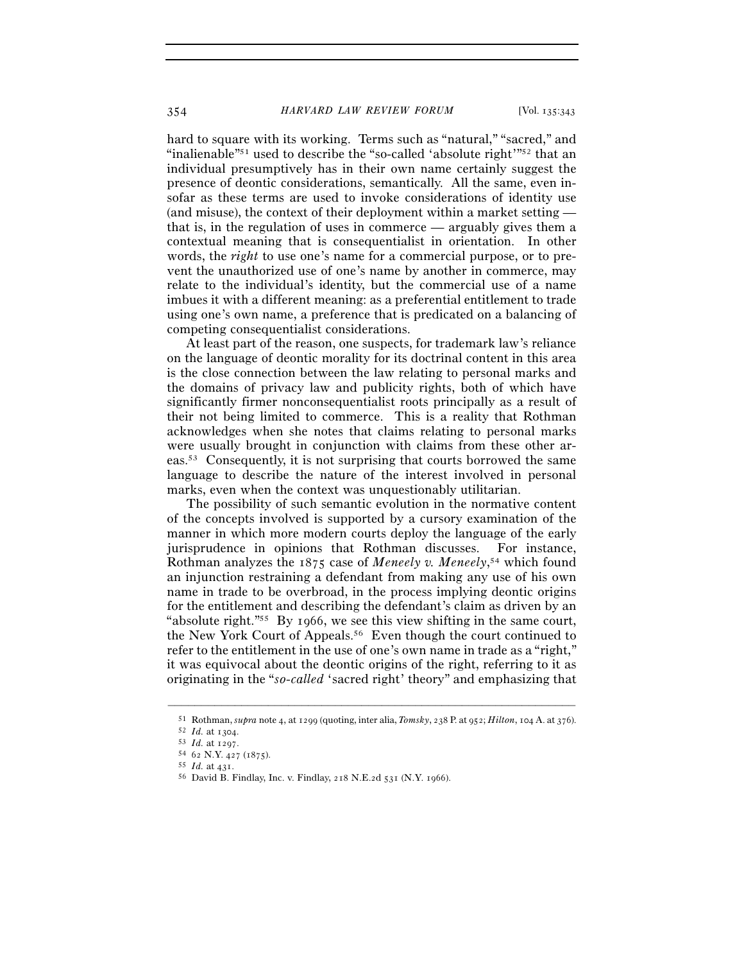hard to square with its working. Terms such as "natural," "sacred," and "inalienable"<sup>51</sup> used to describe the "so-called 'absolute right'<sup>"52</sup> that an individual presumptively has in their own name certainly suggest the presence of deontic considerations, semantically. All the same, even insofar as these terms are used to invoke considerations of identity use (and misuse), the context of their deployment within a market setting that is, in the regulation of uses in commerce — arguably gives them a contextual meaning that is consequentialist in orientation. In other words, the *right* to use one's name for a commercial purpose, or to prevent the unauthorized use of one's name by another in commerce, may relate to the individual's identity, but the commercial use of a name imbues it with a different meaning: as a preferential entitlement to trade using one's own name, a preference that is predicated on a balancing of competing consequentialist considerations.

At least part of the reason, one suspects, for trademark law's reliance on the language of deontic morality for its doctrinal content in this area is the close connection between the law relating to personal marks and the domains of privacy law and publicity rights, both of which have significantly firmer nonconsequentialist roots principally as a result of their not being limited to commerce. This is a reality that Rothman acknowledges when she notes that claims relating to personal marks were usually brought in conjunction with claims from these other areas.53 Consequently, it is not surprising that courts borrowed the same language to describe the nature of the interest involved in personal marks, even when the context was unquestionably utilitarian.

The possibility of such semantic evolution in the normative content of the concepts involved is supported by a cursory examination of the manner in which more modern courts deploy the language of the early jurisprudence in opinions that Rothman discusses. For instance, Rothman analyzes the 1875 case of *Meneely v. Meneely*, 54 which found an injunction restraining a defendant from making any use of his own name in trade to be overbroad, in the process implying deontic origins for the entitlement and describing the defendant's claim as driven by an "absolute right."55 By 1966, we see this view shifting in the same court, the New York Court of Appeals.56 Even though the court continued to refer to the entitlement in the use of one's own name in trade as a "right," it was equivocal about the deontic origins of the right, referring to it as originating in the "*so-called* 'sacred right' theory" and emphasizing that

<sup>–––––––––––––––––––––––––––––––––––––––––––––––––––––––––––––</sup> <sup>51</sup> Rothman, *supra* note 4, at 1299 (quoting, inter alia, *Tomsky*, 238 P. at 952; *Hilton*, 104 A. at 376).<br>
<sup>52</sup> Id. at 1304.<br>
<sup>53</sup> Id. at 1297.<br>
<sup>54</sup> 62 N.Y. 427 (1875).<br>
<sup>54</sup> 62 N.Y. 427 (1875).<br>
<sup>55</sup> Id. at 431.<br>
<sup></sup>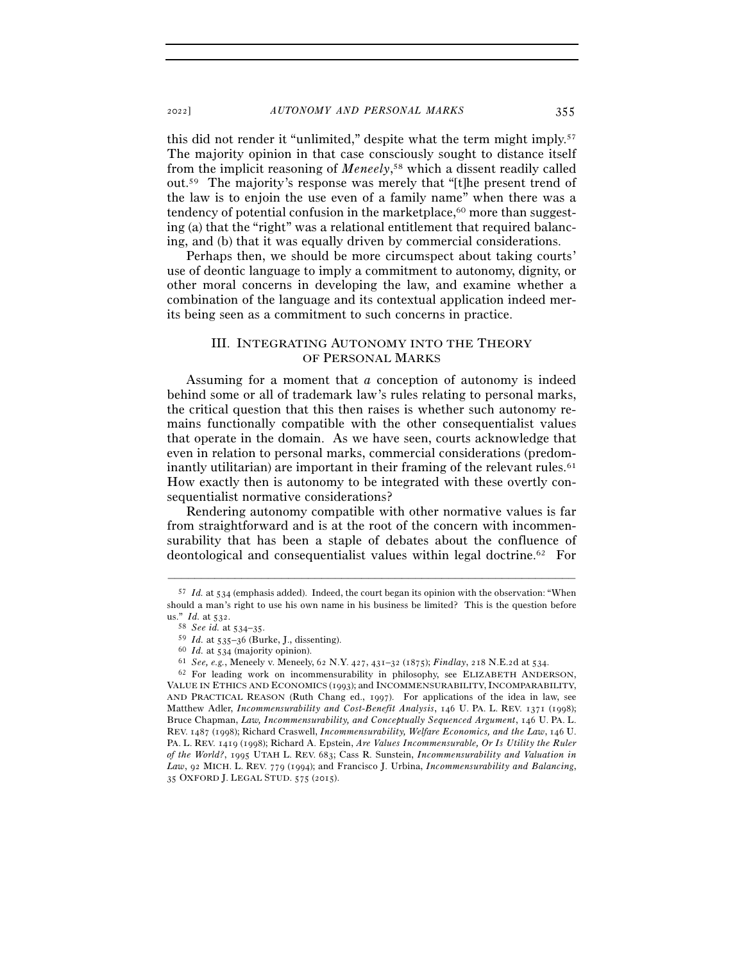this did not render it "unlimited," despite what the term might imply.57 The majority opinion in that case consciously sought to distance itself from the implicit reasoning of *Meneely*, 58 which a dissent readily called out.59 The majority's response was merely that "[t]he present trend of the law is to enjoin the use even of a family name" when there was a tendency of potential confusion in the marketplace,<sup>60</sup> more than suggesting (a) that the "right" was a relational entitlement that required balancing, and (b) that it was equally driven by commercial considerations.

Perhaps then, we should be more circumspect about taking courts' use of deontic language to imply a commitment to autonomy, dignity, or other moral concerns in developing the law, and examine whether a combination of the language and its contextual application indeed merits being seen as a commitment to such concerns in practice.

# III. INTEGRATING AUTONOMY INTO THE THEORY OF PERSONAL MARKS

Assuming for a moment that *a* conception of autonomy is indeed behind some or all of trademark law's rules relating to personal marks, the critical question that this then raises is whether such autonomy remains functionally compatible with the other consequentialist values that operate in the domain. As we have seen, courts acknowledge that even in relation to personal marks, commercial considerations (predominantly utilitarian) are important in their framing of the relevant rules. $61$ How exactly then is autonomy to be integrated with these overtly consequentialist normative considerations?

Rendering autonomy compatible with other normative values is far from straightforward and is at the root of the concern with incommensurability that has been a staple of debates about the confluence of deontological and consequentialist values within legal doctrine.62 For

<sup>57</sup> *Id.* at 534 (emphasis added). Indeed, the court began its opinion with the observation: "When should a man's right to use his own name in his business be limited? This is the question before us."  $Id.$  at  $532.$ 

<sup>&</sup>lt;sup>58</sup> See id. at 534–35.<br><sup>59</sup> Id. at 535–36 (Burke, J., dissenting).<br><sup>60</sup> Id. at 534 (majority opinion).<br><sup>61</sup> See, e.g., Meneely v. Meneely, 62 N.Y. 427, 431–32 (1875); *Findlay*, 218 N.E.2d at 534.<br><sup>62</sup> For leading work o

VALUE IN ETHICS AND ECONOMICS (1993); and INCOMMENSURABILITY, INCOMPARABILITY, AND PRACTICAL REASON (Ruth Chang ed., 1997). For applications of the idea in law, see Matthew Adler, *Incommensurability and Cost-Benefit Analysis*, 146 U. PA. L. REV. 1371 (1998); Bruce Chapman, *Law, Incommensurability, and Conceptually Sequenced Argument*, 146 U. PA. L. REV. 1487 (1998); Richard Craswell, *Incommensurability, Welfare Economics, and the Law*, 146 U. PA. L. REV. 1419 (1998); Richard A. Epstein, *Are Values Incommensurable, Or Is Utility the Ruler of the World?*, 1995 UTAH L. REV. 683; Cass R. Sunstein, *Incommensurability and Valuation in Law*, 92 MICH. L. REV. 779 (1994); and Francisco J. Urbina, *Incommensurability and Balancing*, 35 OXFORD J. LEGAL STUD. 575 (2015).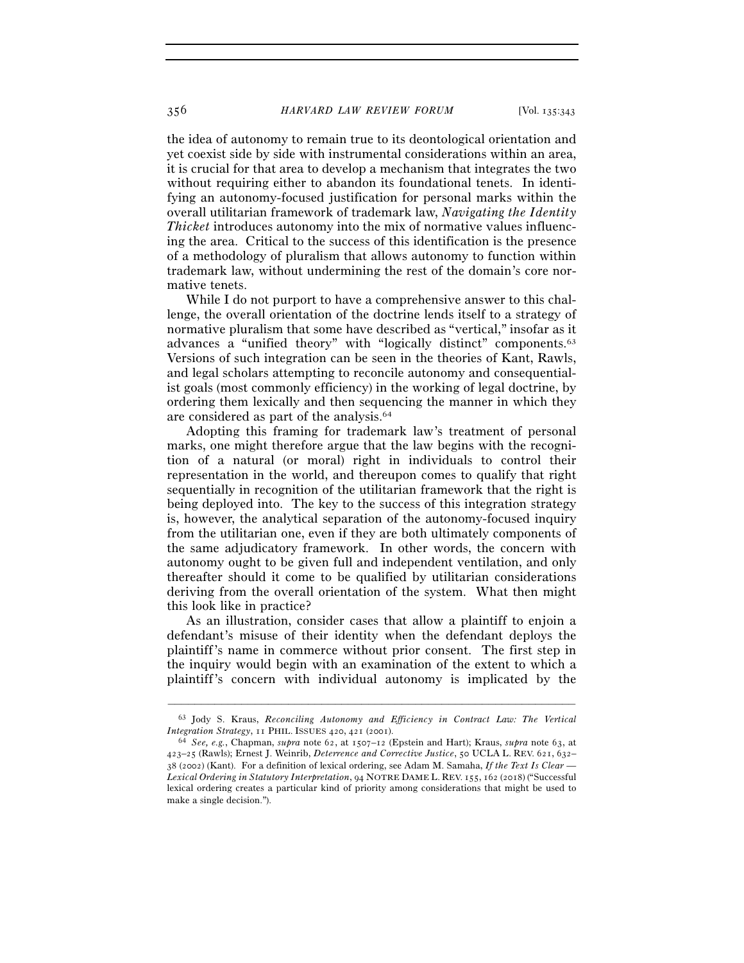the idea of autonomy to remain true to its deontological orientation and yet coexist side by side with instrumental considerations within an area, it is crucial for that area to develop a mechanism that integrates the two without requiring either to abandon its foundational tenets. In identifying an autonomy-focused justification for personal marks within the overall utilitarian framework of trademark law, *Navigating the Identity Thicket* introduces autonomy into the mix of normative values influencing the area. Critical to the success of this identification is the presence of a methodology of pluralism that allows autonomy to function within trademark law, without undermining the rest of the domain's core normative tenets.

While I do not purport to have a comprehensive answer to this challenge, the overall orientation of the doctrine lends itself to a strategy of normative pluralism that some have described as "vertical," insofar as it advances a "unified theory" with "logically distinct" components.<sup>63</sup> Versions of such integration can be seen in the theories of Kant, Rawls, and legal scholars attempting to reconcile autonomy and consequentialist goals (most commonly efficiency) in the working of legal doctrine, by ordering them lexically and then sequencing the manner in which they are considered as part of the analysis.64

Adopting this framing for trademark law's treatment of personal marks, one might therefore argue that the law begins with the recognition of a natural (or moral) right in individuals to control their representation in the world, and thereupon comes to qualify that right sequentially in recognition of the utilitarian framework that the right is being deployed into. The key to the success of this integration strategy is, however, the analytical separation of the autonomy-focused inquiry from the utilitarian one, even if they are both ultimately components of the same adjudicatory framework. In other words, the concern with autonomy ought to be given full and independent ventilation, and only thereafter should it come to be qualified by utilitarian considerations deriving from the overall orientation of the system. What then might this look like in practice?

As an illustration, consider cases that allow a plaintiff to enjoin a defendant's misuse of their identity when the defendant deploys the plaintiff's name in commerce without prior consent. The first step in the inquiry would begin with an examination of the extent to which a plaintiff's concern with individual autonomy is implicated by the

<sup>–––––––––––––––––––––––––––––––––––––––––––––––––––––––––––––</sup> 63 Jody S. Kraus, *Reconciling Autonomy and Efficiency in Contract Law: The Vertical Integration Strategy*, 11 PHIL. ISSUES <sup>420</sup>, 421 (<sup>2001</sup>). 64 *See, e.g.*, Chapman, *supra* note 62, at 1507–12 (Epstein and Hart); Kraus, *supra* note 63, at

<sup>423</sup>–25 (Rawls); Ernest J. Weinrib, *Deterrence and Corrective Justice*, 50 UCLA L. REV. 621, 632– 38 (2002) (Kant). For a definition of lexical ordering, see Adam M. Samaha, *If the Text Is Clear — Lexical Ordering in Statutory Interpretation*, 94 NOTRE DAME L. REV. 155, 162 (2018) ("Successful lexical ordering creates a particular kind of priority among considerations that might be used to make a single decision.").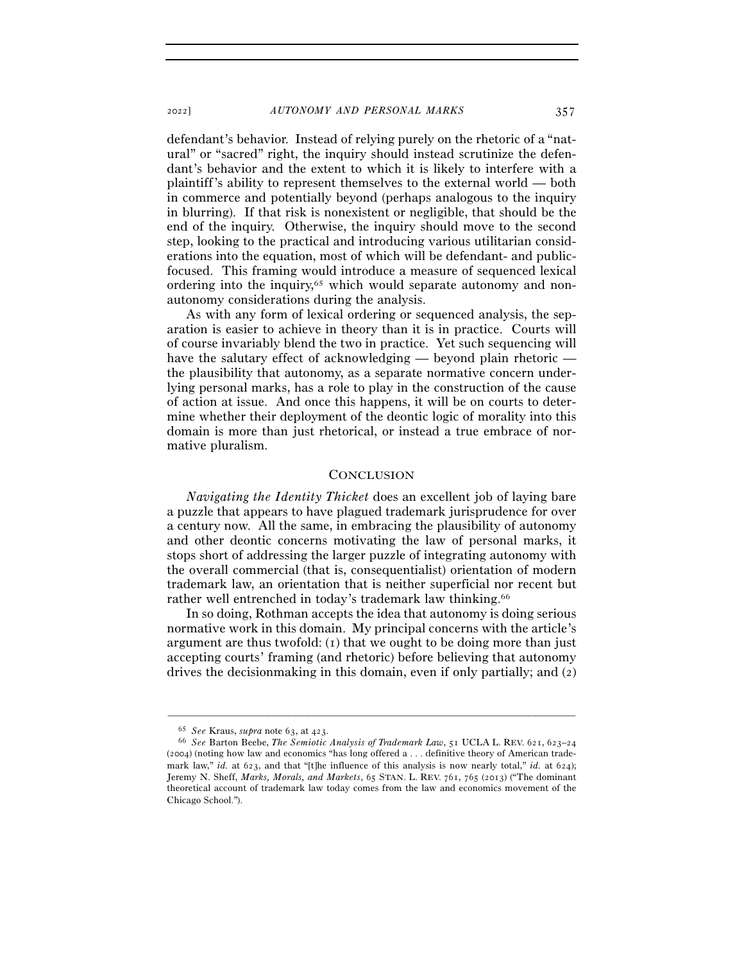defendant's behavior. Instead of relying purely on the rhetoric of a "natural" or "sacred" right, the inquiry should instead scrutinize the defendant's behavior and the extent to which it is likely to interfere with a plaintiff's ability to represent themselves to the external world — both in commerce and potentially beyond (perhaps analogous to the inquiry in blurring). If that risk is nonexistent or negligible, that should be the end of the inquiry. Otherwise, the inquiry should move to the second step, looking to the practical and introducing various utilitarian considerations into the equation, most of which will be defendant- and publicfocused. This framing would introduce a measure of sequenced lexical ordering into the inquiry,<sup> $65$ </sup> which would separate autonomy and nonautonomy considerations during the analysis.

As with any form of lexical ordering or sequenced analysis, the separation is easier to achieve in theory than it is in practice. Courts will of course invariably blend the two in practice. Yet such sequencing will have the salutary effect of acknowledging — beyond plain rhetoric the plausibility that autonomy, as a separate normative concern underlying personal marks, has a role to play in the construction of the cause of action at issue. And once this happens, it will be on courts to determine whether their deployment of the deontic logic of morality into this domain is more than just rhetorical, or instead a true embrace of normative pluralism.

#### **CONCLUSION**

*Navigating the Identity Thicket* does an excellent job of laying bare a puzzle that appears to have plagued trademark jurisprudence for over a century now. All the same, in embracing the plausibility of autonomy and other deontic concerns motivating the law of personal marks, it stops short of addressing the larger puzzle of integrating autonomy with the overall commercial (that is, consequentialist) orientation of modern trademark law, an orientation that is neither superficial nor recent but rather well entrenched in today's trademark law thinking.66

In so doing, Rothman accepts the idea that autonomy is doing serious normative work in this domain. My principal concerns with the article's argument are thus twofold:  $(I)$  that we ought to be doing more than just accepting courts' framing (and rhetoric) before believing that autonomy drives the decisionmaking in this domain, even if only partially; and (2)

<sup>65</sup> *See* Kraus, *supra* note 63, at <sup>423</sup>. 66 *See* Barton Beebe, *The Semiotic Analysis of Trademark Law*, 51 UCLA L. REV. 621, 623–<sup>24</sup> (2004) (noting how law and economics "has long offered a . . . definitive theory of American trademark law," *id.* at 623, and that "[t]he influence of this analysis is now nearly total," *id.* at 624); Jeremy N. Sheff, *Marks, Morals, and Markets*, 65 STAN. L. REV. 761, 765 (2013) ("The dominant theoretical account of trademark law today comes from the law and economics movement of the Chicago School.").